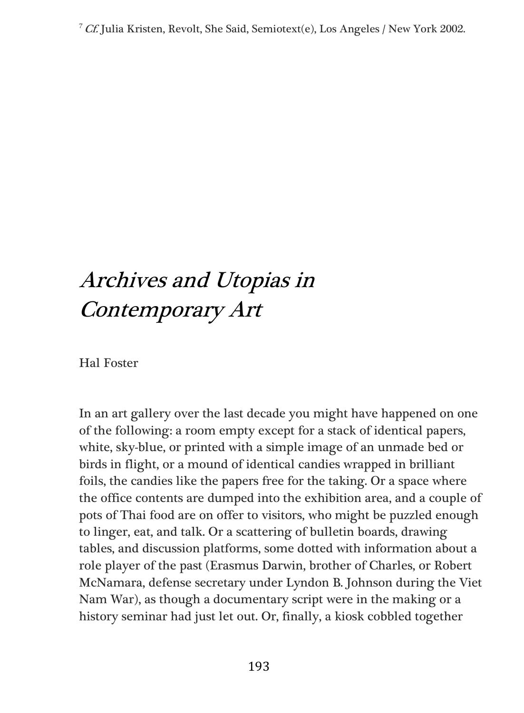<sup>7</sup> Cf. Julia Kristen, Revolt, She Said, Semiotext(e), Los Angeles / New York 2002.

## Archives and Utopias in Contemporary Art

Hal Foster

In an art gallery over the last decade you might have happened on one of the following: a room empty except for a stack of identical papers, white, sky-blue, or printed with a simple image of an unmade bed or birds in flight, or a mound of identical candies wrapped in brilliant foils, the candies like the papers free for the taking. Or a space where the office contents are dumped into the exhibition area, and a couple of pots of Thai food are on offer to visitors, who might be puzzled enough to linger, eat, and talk. Or a scattering of bulletin boards, drawing tables, and discussion platforms, some dotted with information about a role player of the past (Erasmus Darwin, brother of Charles, or Robert McNamara, defense secretary under Lyndon B. Johnson during the Viet Nam War), as though a documentary script were in the making or a history seminar had just let out. Or, finally, a kiosk cobbled together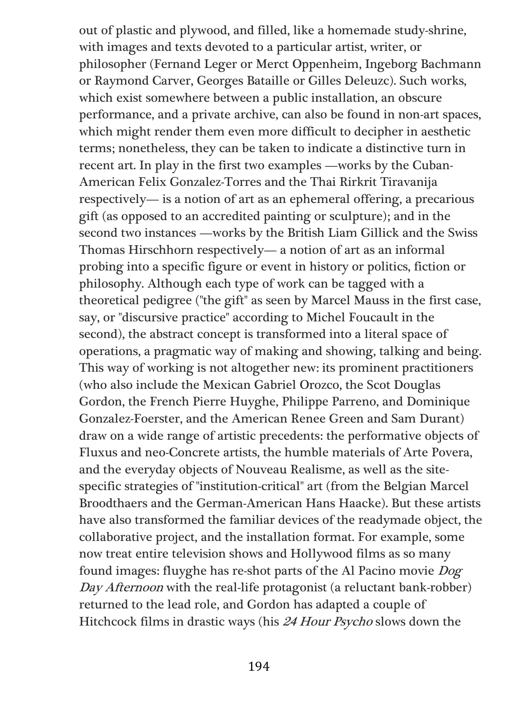out of plastic and plywood, and filled, like a homemade study-shrine, with images and texts devoted to a particular artist, writer, or philosopher (Fernand Leger or Merct Oppenheim, Ingeborg Bachmann or Raymond Carver, Georges Bataille or Gilles Deleuzc). Such works, which exist somewhere between a public installation, an obscure performance, and a private archive, can also be found in non-art spaces, which might render them even more difficult to decipher in aesthetic terms; nonetheless, they can be taken to indicate a distinctive turn in recent art. In play in the first two examples —works by the Cuban-American Felix Gonzalez-Torres and the Thai Rirkrit Tiravanija respectively— is a notion of art as an ephemeral offering, a precarious gift (as opposed to an accredited painting or sculpture); and in the second two instances —works by the British Liam Gillick and the Swiss Thomas Hirschhorn respectively— a notion of art as an informal probing into a specific figure or event in history or politics, fiction or philosophy. Although each type of work can be tagged with a theoretical pedigree ("the gift" as seen by Marcel Mauss in the first case, say, or "discursive practice" according to Michel Foucault in the second), the abstract concept is transformed into a literal space of operations, a pragmatic way of making and showing, talking and being. This way of working is not altogether new: its prominent practitioners (who also include the Mexican Gabriel Orozco, the Scot Douglas Gordon, the French Pierre Huyghe, Philippe Parreno, and Dominique Gonzalez-Foerster, and the American Renee Green and Sam Durant) draw on a wide range of artistic precedents: the performative objects of Fluxus and neo-Concrete artists, the humble materials of Arte Povera, and the everyday objects of Nouveau Realisme, as well as the sitespecific strategies of "institution-critical" art (from the Belgian Marcel Broodthaers and the German-American Hans Haacke). But these artists have also transformed the familiar devices of the readymade object, the collaborative project, and the installation format. For example, some now treat entire television shows and Hollywood films as so many found images: fluyghe has re-shot parts of the Al Pacino movie Dog Day Afternoon with the real-life protagonist (a reluctant bank-robber) returned to the lead role, and Gordon has adapted a couple of Hitchcock films in drastic ways (his 24 Hour Psycho slows down the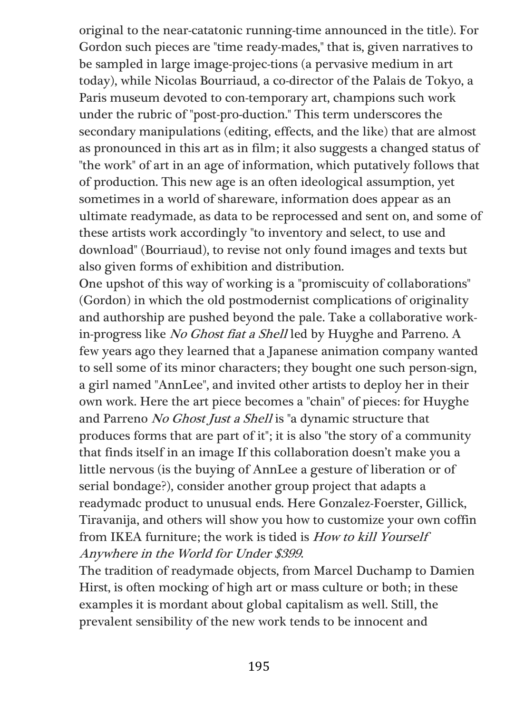original to the near-catatonic running-time announced in the title). For Gordon such pieces are "time ready-mades," that is, given narratives to be sampled in large image-projec-tions (a pervasive medium in art today), while Nicolas Bourriaud, a co-director of the Palais de Tokyo, a Paris museum devoted to con-temporary art, champions such work under the rubric of "post-pro-duction." This term underscores the secondary manipulations (editing, effects, and the like) that are almost as pronounced in this art as in film; it also suggests a changed status of "the work" of art in an age of information, which putatively follows that of production. This new age is an often ideological assumption, yet sometimes in a world of shareware, information does appear as an ultimate readymade, as data to be reprocessed and sent on, and some of these artists work accordingly "to inventory and select, to use and download" (Bourriaud), to revise not only found images and texts but also given forms of exhibition and distribution.

One upshot of this way of working is a "promiscuity of collaborations" (Gordon) in which the old postmodernist complications of originality and authorship are pushed beyond the pale. Take a collaborative workin-progress like No Ghost fiat a Shell led by Huyghe and Parreno. A few years ago they learned that a Japanese animation company wanted to sell some of its minor characters; they bought one such person-sign, a girl named "AnnLee", and invited other artists to deploy her in their own work. Here the art piece becomes a "chain" of pieces: for Huyghe and Parreno No Ghost Just a Shell is "a dynamic structure that produces forms that are part of it"; it is also "the story of a community that finds itself in an image If this collaboration doesn't make you a little nervous (is the buying of AnnLee a gesture of liberation or of serial bondage?), consider another group project that adapts a readymadc product to unusual ends. Here Gonzalez-Foerster, Gillick, Tiravanija, and others will show you how to customize your own coffin from IKEA furniture; the work is tided is How to kill Yourself Anywhere in the World for Under \$399.

The tradition of readymade objects, from Marcel Duchamp to Damien Hirst, is often mocking of high art or mass culture or both; in these examples it is mordant about global capitalism as well. Still, the prevalent sensibility of the new work tends to be innocent and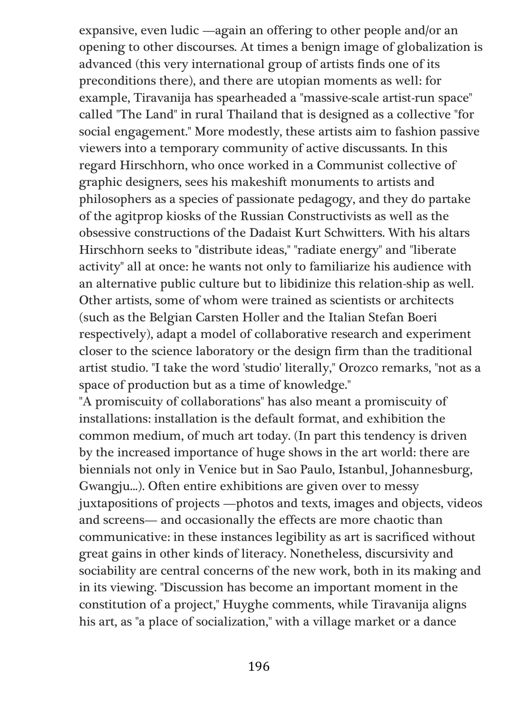expansive, even ludic —again an offering to other people and/or an opening to other discourses. At times a benign image of globalization is advanced (this very international group of artists finds one of its preconditions there), and there are utopian moments as well: for example, Tiravanija has spearheaded a "massive-scale artist-run space" called "The Land" in rural Thailand that is designed as a collective "for social engagement." More modestly, these artists aim to fashion passive viewers into a temporary community of active discussants. In this regard Hirschhorn, who once worked in a Communist collective of graphic designers, sees his makeshift monuments to artists and philosophers as a species of passionate pedagogy, and they do partake of the agitprop kiosks of the Russian Constructivists as well as the obsessive constructions of the Dadaist Kurt Schwitters. With his altars Hirschhorn seeks to "distribute ideas," "radiate energy" and "liberate activity" all at once: he wants not only to familiarize his audience with an alternative public culture but to libidinize this relation-ship as well. Other artists, some of whom were trained as scientists or architects (such as the Belgian Carsten Holler and the Italian Stefan Boeri respectively), adapt a model of collaborative research and experiment closer to the science laboratory or the design firm than the traditional artist studio. "I take the word 'studio' literally," Orozco remarks, "not as a space of production but as a time of knowledge."

"A promiscuity of collaborations" has also meant a promiscuity of installations: installation is the default format, and exhibition the common medium, of much art today. (In part this tendency is driven by the increased importance of huge shows in the art world: there are biennials not only in Venice but in Sao Paulo, Istanbul, Johannesburg, Gwangju...). Often entire exhibitions are given over to messy juxtapositions of projects —photos and texts, images and objects, videos and screens— and occasionally the effects are more chaotic than communicative: in these instances legibility as art is sacrificed without great gains in other kinds of literacy. Nonetheless, discursivity and sociability are central concerns of the new work, both in its making and in its viewing. "Discussion has become an important moment in the constitution of a project," Huyghe comments, while Tiravanija aligns his art, as "a place of socialization," with a village market or a dance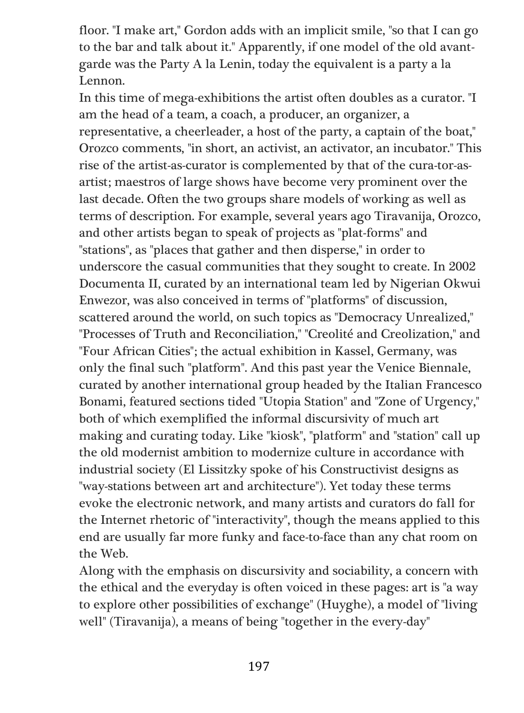floor. "I make art," Gordon adds with an implicit smile, "so that I can go to the bar and talk about it." Apparently, if one model of the old avantgarde was the Party A la Lenin, today the equivalent is a party a la Lennon.

In this time of mega-exhibitions the artist often doubles as a curator. "I am the head of a team, a coach, a producer, an organizer, a representative, a cheerleader, a host of the party, a captain of the boat," Orozco comments, "in short, an activist, an activator, an incubator." This rise of the artist-as-curator is complemented by that of the cura-tor-asartist; maestros of large shows have become very prominent over the last decade. Often the two groups share models of working as well as terms of description. For example, several years ago Tiravanija, Orozco, and other artists began to speak of projects as "plat-forms" and "stations", as "places that gather and then disperse," in order to underscore the casual communities that they sought to create. In 2002 Documenta II, curated by an international team led by Nigerian Okwui Enwezor, was also conceived in terms of "platforms" of discussion, scattered around the world, on such topics as "Democracy Unrealized," "Processes of Truth and Reconciliation," "Creolité and Creolization," and "Four African Cities"; the actual exhibition in Kassel, Germany, was only the final such "platform". And this past year the Venice Biennale, curated by another international group headed by the Italian Francesco Bonami, featured sections tided "Utopia Station" and "Zone of Urgency," both of which exemplified the informal discursivity of much art making and curating today. Like "kiosk", "platform" and "station" call up the old modernist ambition to modernize culture in accordance with industrial society (El Lissitzky spoke of his Constructivist designs as "way-stations between art and architecture"). Yet today these terms evoke the electronic network, and many artists and curators do fall for the Internet rhetoric of "interactivity", though the means applied to this end are usually far more funky and face-to-face than any chat room on the Web.

Along with the emphasis on discursivity and sociability, a concern with the ethical and the everyday is often voiced in these pages: art is "a way to explore other possibilities of exchange" (Huyghe), a model of "living well" (Tiravanija), a means of being "together in the every-day"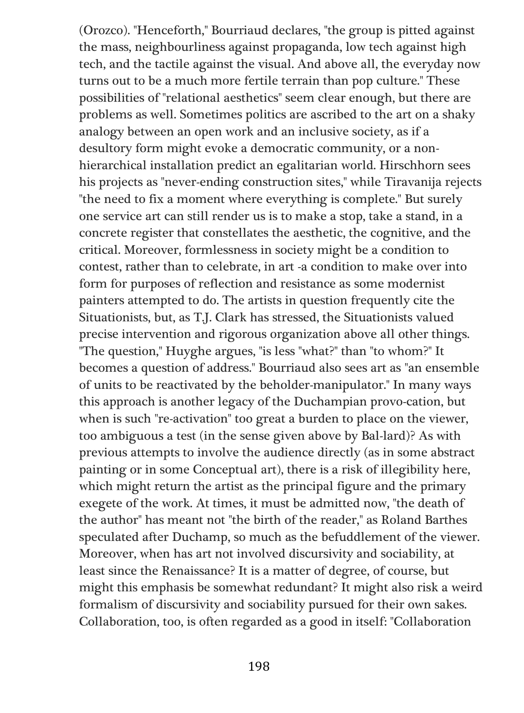(Orozco). "Henceforth," Bourriaud declares, "the group is pitted against the mass, neighbourliness against propaganda, low tech against high tech, and the tactile against the visual. And above all, the everyday now turns out to be a much more fertile terrain than pop culture." These possibilities of "relational aesthetics" seem clear enough, but there are problems as well. Sometimes politics are ascribed to the art on a shaky analogy between an open work and an inclusive society, as if a desultory form might evoke a democratic community, or a nonhierarchical installation predict an egalitarian world. Hirschhorn sees his projects as "never-ending construction sites," while Tiravanija rejects "the need to fix a moment where everything is complete." But surely one service art can still render us is to make a stop, take a stand, in a concrete register that constellates the aesthetic, the cognitive, and the critical. Moreover, formlessness in society might be a condition to contest, rather than to celebrate, in art -a condition to make over into form for purposes of reflection and resistance as some modernist painters attempted to do. The artists in question frequently cite the Situationists, but, as T.J. Clark has stressed, the Situationists valued precise intervention and rigorous organization above all other things. "The question," Huyghe argues, "is less "what?" than "to whom?" It becomes a question of address." Bourriaud also sees art as "an ensemble of units to be reactivated by the beholder-manipulator." In many ways this approach is another legacy of the Duchampian provo-cation, but when is such "re-activation" too great a burden to place on the viewer, too ambiguous a test (in the sense given above by Bal-lard)? As with previous attempts to involve the audience directly (as in some abstract painting or in some Conceptual art), there is a risk of illegibility here, which might return the artist as the principal figure and the primary exegete of the work. At times, it must be admitted now, "the death of the author" has meant not "the birth of the reader," as Roland Barthes speculated after Duchamp, so much as the befuddlement of the viewer. Moreover, when has art not involved discursivity and sociability, at least since the Renaissance? It is a matter of degree, of course, but might this emphasis be somewhat redundant? It might also risk a weird formalism of discursivity and sociability pursued for their own sakes. Collaboration, too, is often regarded as a good in itself: "Collaboration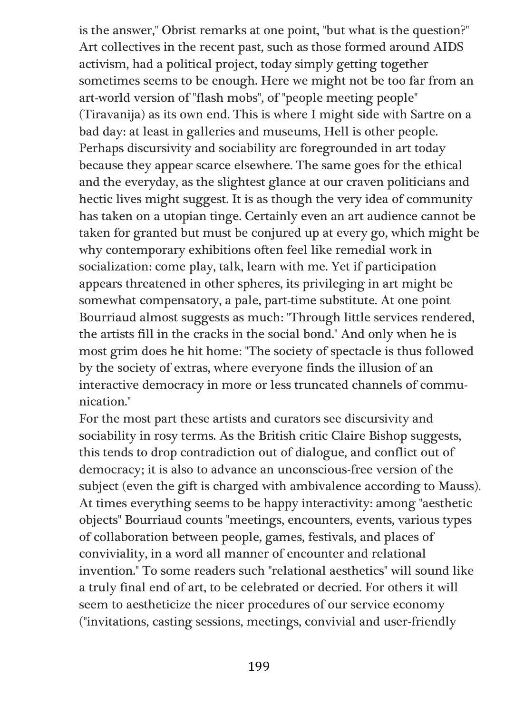is the answer," Obrist remarks at one point, "but what is the question?" Art collectives in the recent past, such as those formed around AIDS activism, had a political project, today simply getting together sometimes seems to be enough. Here we might not be too far from an art-world version of "flash mobs", of "people meeting people" (Tiravanija) as its own end. This is where I might side with Sartre on a bad day: at least in galleries and museums, Hell is other people. Perhaps discursivity and sociability arc foregrounded in art today because they appear scarce elsewhere. The same goes for the ethical and the everyday, as the slightest glance at our craven politicians and hectic lives might suggest. It is as though the very idea of community has taken on a utopian tinge. Certainly even an art audience cannot be taken for granted but must be conjured up at every go, which might be why contemporary exhibitions often feel like remedial work in socialization: come play, talk, learn with me. Yet if participation appears threatened in other spheres, its privileging in art might be somewhat compensatory, a pale, part-time substitute. At one point Bourriaud almost suggests as much: "Through little services rendered, the artists fill in the cracks in the social bond." And only when he is most grim does he hit home: "The society of spectacle is thus followed by the society of extras, where everyone finds the illusion of an interactive democracy in more or less truncated channels of communication."

For the most part these artists and curators see discursivity and sociability in rosy terms. As the British critic Claire Bishop suggests, this tends to drop contradiction out of dialogue, and conflict out of democracy; it is also to advance an unconscious-free version of the subject (even the gift is charged with ambivalence according to Mauss). At times everything seems to be happy interactivity: among "aesthetic objects" Bourriaud counts "meetings, encounters, events, various types of collaboration between people, games, festivals, and places of conviviality, in a word all manner of encounter and relational invention." To some readers such "relational aesthetics" will sound like a truly final end of art, to be celebrated or decried. For others it will seem to aestheticize the nicer procedures of our service economy ("invitations, casting sessions, meetings, convivial and user-friendly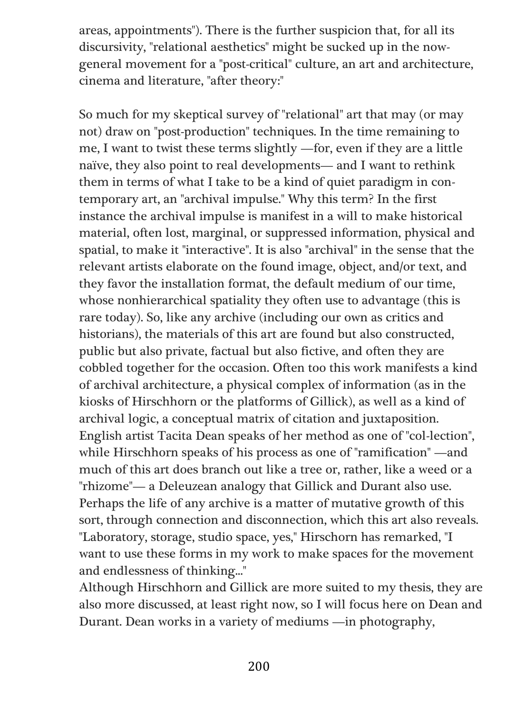areas, appointments"). There is the further suspicion that, for all its discursivity, "relational aesthetics" might be sucked up in the nowgeneral movement for a "post-critical" culture, an art and architecture, cinema and literature, "after theory:"

So much for my skeptical survey of "relational" art that may (or may not) draw on "post-production" techniques. In the time remaining to me, I want to twist these terms slightly —for, even if they are a little naïve, they also point to real developments— and I want to rethink them in terms of what I take to be a kind of quiet paradigm in contemporary art, an "archival impulse." Why this term? In the first instance the archival impulse is manifest in a will to make historical material, often lost, marginal, or suppressed information, physical and spatial, to make it "interactive". It is also "archival" in the sense that the relevant artists elaborate on the found image, object, and/or text, and they favor the installation format, the default medium of our time, whose nonhierarchical spatiality they often use to advantage (this is rare today). So, like any archive (including our own as critics and historians), the materials of this art are found but also constructed, public but also private, factual but also fictive, and often they are cobbled together for the occasion. Often too this work manifests a kind of archival architecture, a physical complex of information (as in the kiosks of Hirschhorn or the platforms of Gillick), as well as a kind of archival logic, a conceptual matrix of citation and juxtaposition. English artist Tacita Dean speaks of her method as one of "col-lection", while Hirschhorn speaks of his process as one of "ramification" —and much of this art does branch out like a tree or, rather, like a weed or a "rhizome"— a Deleuzean analogy that Gillick and Durant also use. Perhaps the life of any archive is a matter of mutative growth of this sort, through connection and disconnection, which this art also reveals. "Laboratory, storage, studio space, yes," Hirschorn has remarked, "I want to use these forms in my work to make spaces for the movement and endlessness of thinking..."

Although Hirschhorn and Gillick are more suited to my thesis, they are also more discussed, at least right now, so I will focus here on Dean and Durant. Dean works in a variety of mediums —in photography,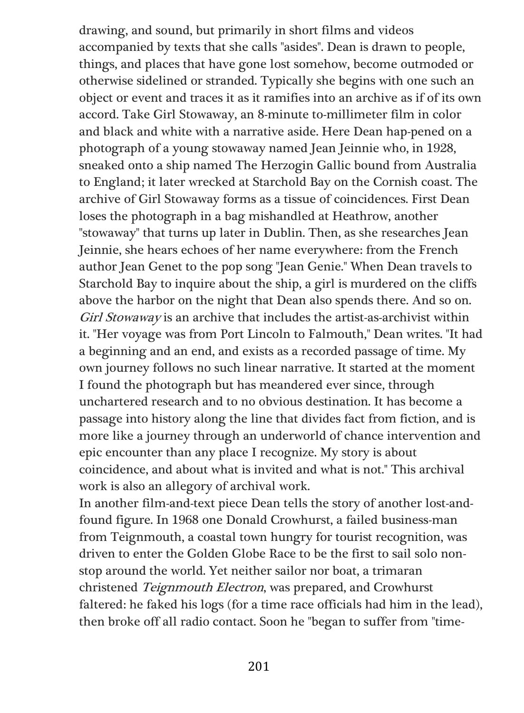drawing, and sound, but primarily in short films and videos accompanied by texts that she calls "asides". Dean is drawn to people, things, and places that have gone lost somehow, become outmoded or otherwise sidelined or stranded. Typically she begins with one such an object or event and traces it as it ramifies into an archive as if of its own accord. Take Girl Stowaway, an 8-minute to-millimeter film in color and black and white with a narrative aside. Here Dean hap-pened on a photograph of a young stowaway named Jean Jeinnie who, in 1928, sneaked onto a ship named The Herzogin Gallic bound from Australia to England; it later wrecked at Starchold Bay on the Cornish coast. The archive of Girl Stowaway forms as a tissue of coincidences. First Dean loses the photograph in a bag mishandled at Heathrow, another "stowaway" that turns up later in Dublin. Then, as she researches Jean Jeinnie, she hears echoes of her name everywhere: from the French author Jean Genet to the pop song "Jean Genie." When Dean travels to Starchold Bay to inquire about the ship, a girl is murdered on the cliffs above the harbor on the night that Dean also spends there. And so on. Girl Stowaway is an archive that includes the artist-as-archivist within it. "Her voyage was from Port Lincoln to Falmouth," Dean writes. "It had a beginning and an end, and exists as a recorded passage of time. My own journey follows no such linear narrative. It started at the moment I found the photograph but has meandered ever since, through unchartered research and to no obvious destination. It has become a passage into history along the line that divides fact from fiction, and is more like a journey through an underworld of chance intervention and epic encounter than any place I recognize. My story is about coincidence, and about what is invited and what is not." This archival work is also an allegory of archival work.

In another film-and-text piece Dean tells the story of another lost-andfound figure. In 1968 one Donald Crowhurst, a failed business-man from Teignmouth, a coastal town hungry for tourist recognition, was driven to enter the Golden Globe Race to be the first to sail solo nonstop around the world. Yet neither sailor nor boat, a trimaran christened Teignmouth Electron, was prepared, and Crowhurst faltered: he faked his logs (for a time race officials had him in the lead), then broke off all radio contact. Soon he "began to suffer from "time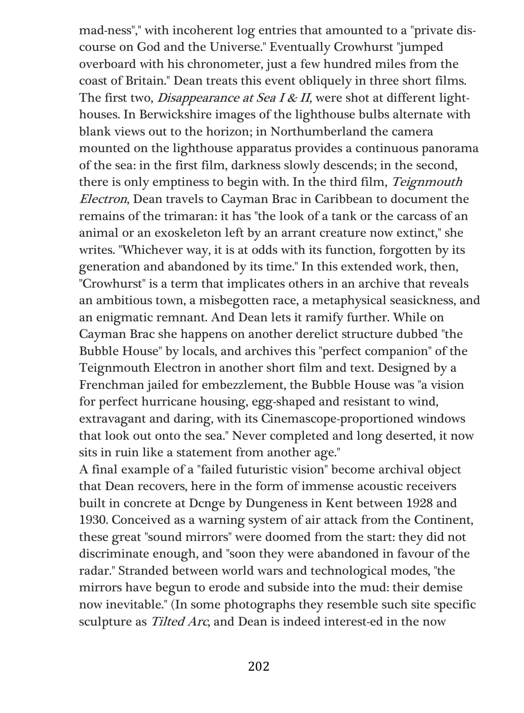mad-ness"," with incoherent log entries that amounted to a "private discourse on God and the Universe." Eventually Crowhurst "jumped overboard with his chronometer, just a few hundred miles from the coast of Britain." Dean treats this event obliquely in three short films. The first two, *Disappearance at Sea I & II*, were shot at different lighthouses. In Berwickshire images of the lighthouse bulbs alternate with blank views out to the horizon; in Northumberland the camera mounted on the lighthouse apparatus provides a continuous panorama of the sea: in the first film, darkness slowly descends; in the second, there is only emptiness to begin with. In the third film, Teignmouth Electron, Dean travels to Cayman Brac in Caribbean to document the remains of the trimaran: it has "the look of a tank or the carcass of an animal or an exoskeleton left by an arrant creature now extinct," she writes. "Whichever way, it is at odds with its function, forgotten by its generation and abandoned by its time." In this extended work, then, "Crowhurst" is a term that implicates others in an archive that reveals an ambitious town, a misbegotten race, a metaphysical seasickness, and an enigmatic remnant. And Dean lets it ramify further. While on Cayman Brac she happens on another derelict structure dubbed "the Bubble House" by locals, and archives this "perfect companion" of the Teignmouth Electron in another short film and text. Designed by a Frenchman jailed for embezzlement, the Bubble House was "a vision for perfect hurricane housing, egg-shaped and resistant to wind, extravagant and daring, with its Cinemascope-proportioned windows that look out onto the sea." Never completed and long deserted, it now sits in ruin like a statement from another age."

A final example of a "failed futuristic vision" become archival object that Dean recovers, here in the form of immense acoustic receivers built in concrete at Dcnge by Dungeness in Kent between 1928 and 1930. Conceived as a warning system of air attack from the Continent, these great "sound mirrors" were doomed from the start: they did not discriminate enough, and "soon they were abandoned in favour of the radar." Stranded between world wars and technological modes, "the mirrors have begun to erode and subside into the mud: their demise now inevitable." (In some photographs they resemble such site specific sculpture as Tilted Arc, and Dean is indeed interest-ed in the now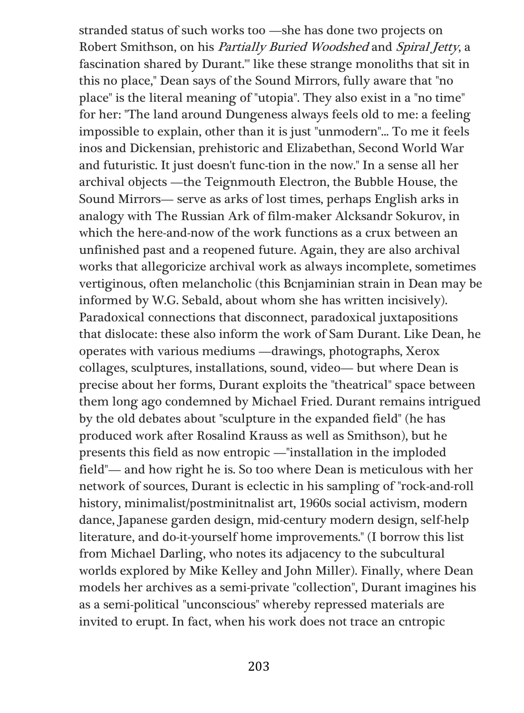stranded status of such works too —she has done two projects on Robert Smithson, on his Partially Buried Woodshed and Spiral Jetty, a fascination shared by Durant."' like these strange monoliths that sit in this no place," Dean says of the Sound Mirrors, fully aware that "no place" is the literal meaning of "utopia". They also exist in a "no time" for her: "The land around Dungeness always feels old to me: a feeling impossible to explain, other than it is just "unmodern"... To me it feels inos and Dickensian, prehistoric and Elizabethan, Second World War and futuristic. It just doesn't func-tion in the now." In a sense all her archival objects —the Teignmouth Electron, the Bubble House, the Sound Mirrors— serve as arks of lost times, perhaps English arks in analogy with The Russian Ark of film-maker Alcksandr Sokurov, in which the here-and-now of the work functions as a crux between an unfinished past and a reopened future. Again, they are also archival works that allegoricize archival work as always incomplete, sometimes vertiginous, often melancholic (this Bcnjaminian strain in Dean may be informed by W.G. Sebald, about whom she has written incisively). Paradoxical connections that disconnect, paradoxical juxtapositions that dislocate: these also inform the work of Sam Durant. Like Dean, he operates with various mediums —drawings, photographs, Xerox collages, sculptures, installations, sound, video— but where Dean is precise about her forms, Durant exploits the "theatrical" space between them long ago condemned by Michael Fried. Durant remains intrigued by the old debates about "sculpture in the expanded field" (he has produced work after Rosalind Krauss as well as Smithson), but he presents this field as now entropic —"installation in the imploded field"— and how right he is. So too where Dean is meticulous with her network of sources, Durant is eclectic in his sampling of "rock-and-roll history, minimalist/postminitnalist art, 1960s social activism, modern dance, Japanese garden design, mid-century modern design, self-help literature, and do-it-yourself home improvements." (I borrow this list from Michael Darling, who notes its adjacency to the subcultural worlds explored by Mike Kelley and John Miller). Finally, where Dean models her archives as a semi-private "collection", Durant imagines his as a semi-political "unconscious" whereby repressed materials are invited to erupt. In fact, when his work does not trace an cntropic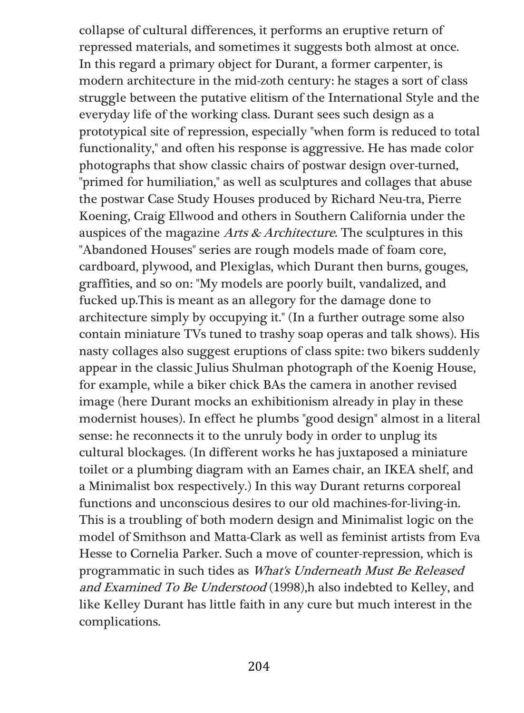collapse of cultural differences, it performs an eruptive return of repressed materials, and sometimes it suggests both almost at once. In this regard a primary object for Durant, a former carpenter, is modern architecture in the mid-zoth century: he stages a sort of class struggle between the putative elitism of the International Style and the everyday life of the working class. Durant sees such design as a prototypical site of repression, especially "when form is reduced to total functionality," and often his response is aggressive. He has made color photographs that show classic chairs of postwar design over-turned, "primed for humiliation," as well as sculptures and collages that abuse the postwar Case Study Houses produced by Richard Neu-tra, Pierre Koening, Craig Ellwood and others in Southern California under the auspices of the magazine Arts & Architecture. The sculptures in this "Abandoned Houses" series are rough models made of foam core, cardboard, plywood, and Plexiglas, which Durant then burns, gouges, graffities, and so on: "My models are poorly built, vandalized, and fucked up.This is meant as an allegory for the damage done to architecture simply by occupying it." (In a further outrage some also contain miniature TVs tuned to trashy soap operas and talk shows). His nasty collages also suggest eruptions of class spite: two bikers suddenly appear in the classic Julius Shulman photograph of the Koenig House, for example, while a biker chick BAs the camera in another revised image (here Durant mocks an exhibitionism already in play in these modernist houses). In effect he plumbs "good design" almost in a literal sense: he reconnects it to the unruly body in order to unplug its cultural blockages. (In different works he has juxtaposed a miniature toilet or a plumbing diagram with an Eames chair, an IKEA shelf, and a Minimalist box respectively.) In this way Durant returns corporeal functions and unconscious desires to our old machines-for-living-in. This is a troubling of both modern design and Minimalist logic on the model of Smithson and Matta-Clark as well as feminist artists from Eva Hesse to Cornelia Parker. Such a move of counter-repression, which is programmatic in such tides as What's Underneath Must Be Released and Examined To Be Understood (1998),h also indebted to Kelley, and like Kelley Durant has little faith in any cure but much interest in the complications.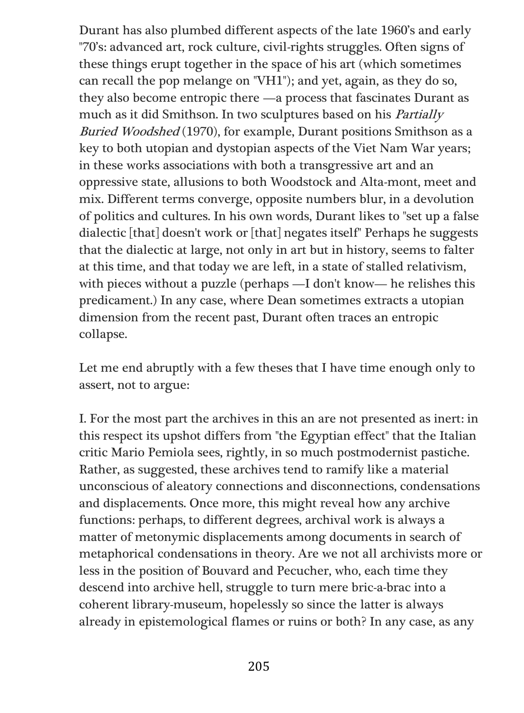Durant has also plumbed different aspects of the late 1960's and early "70's: advanced art, rock culture, civil-rights struggles. Often signs of these things erupt together in the space of his art (which sometimes can recall the pop melange on "VH1"); and yet, again, as they do so, they also become entropic there —a process that fascinates Durant as much as it did Smithson. In two sculptures based on his Partially Buried Woodshed (1970), for example, Durant positions Smithson as a key to both utopian and dystopian aspects of the Viet Nam War years; in these works associations with both a transgressive art and an oppressive state, allusions to both Woodstock and Alta-mont, meet and mix. Different terms converge, opposite numbers blur, in a devolution of politics and cultures. In his own words, Durant likes to "set up a false dialectic [that] doesn't work or [that] negates itself" Perhaps he suggests that the dialectic at large, not only in art but in history, seems to falter at this time, and that today we are left, in a state of stalled relativism, with pieces without a puzzle (perhaps —I don't know— he relishes this predicament.) In any case, where Dean sometimes extracts a utopian dimension from the recent past, Durant often traces an entropic collapse.

Let me end abruptly with a few theses that I have time enough only to assert, not to argue:

I. For the most part the archives in this an are not presented as inert: in this respect its upshot differs from "the Egyptian effect" that the Italian critic Mario Pemiola sees, rightly, in so much postmodernist pastiche. Rather, as suggested, these archives tend to ramify like a material unconscious of aleatory connections and disconnections, condensations and displacements. Once more, this might reveal how any archive functions: perhaps, to different degrees, archival work is always a matter of metonymic displacements among documents in search of metaphorical condensations in theory. Are we not all archivists more or less in the position of Bouvard and Pecucher, who, each time they descend into archive hell, struggle to turn mere bric-a-brac into a coherent library-museum, hopelessly so since the latter is always already in epistemological flames or ruins or both? In any case, as any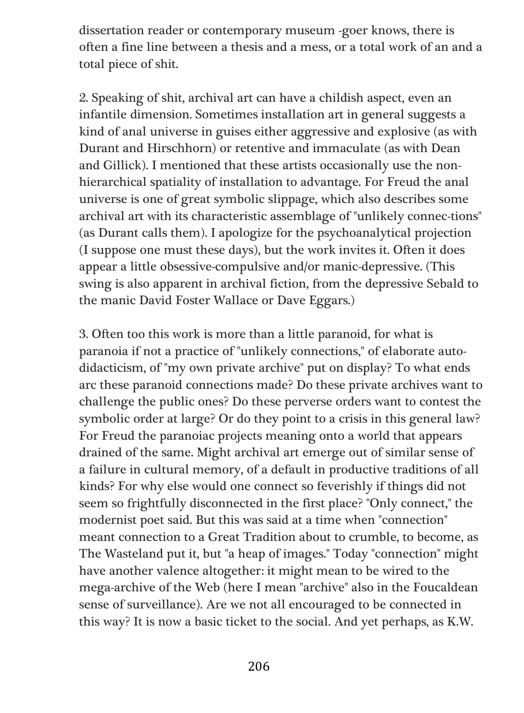dissertation reader or contemporary museum -goer knows, there is often a fine line between a thesis and a mess, or a total work of an and a total piece of shit.

2. Speaking of shit, archival art can have a childish aspect, even an infantile dimension. Sometimes installation art in general suggests a kind of anal universe in guises either aggressive and explosive (as with Durant and Hirschhorn) or retentive and immaculate (as with Dean and Gillick). I mentioned that these artists occasionally use the nonhierarchical spatiality of installation to advantage. For Freud the anal universe is one of great symbolic slippage, which also describes some archival art with its characteristic assemblage of "unlikely connec-tions" (as Durant calls them). I apologize for the psychoanalytical projection (I suppose one must these days), but the work invites it. Often it does appear a little obsessive-compulsive and/or manic-depressive. (This swing is also apparent in archival fiction, from the depressive Sebald to the manic David Foster Wallace or Dave Eggars.)

3. Often too this work is more than a little paranoid, for what is paranoia if not a practice of "unlikely connections," of elaborate autodidacticism, of "my own private archive" put on display? To what ends arc these paranoid connections made? Do these private archives want to challenge the public ones? Do these perverse orders want to contest the symbolic order at large? Or do they point to a crisis in this general law? For Freud the paranoiac projects meaning onto a world that appears drained of the same. Might archival art emerge out of similar sense of a failure in cultural memory, of a default in productive traditions of all kinds? For why else would one connect so feverishly if things did not seem so frightfully disconnected in the first place? "Only connect," the modernist poet said. But this was said at a time when "connection" meant connection to a Great Tradition about to crumble, to become, as The Wasteland put it, but "a heap of images." Today "connection" might have another valence altogether: it might mean to be wired to the mega-archive of the Web (here I mean "archive" also in the Foucaldean sense of surveillance). Are we not all encouraged to be connected in this way? It is now a basic ticket to the social. And yet perhaps, as K.W.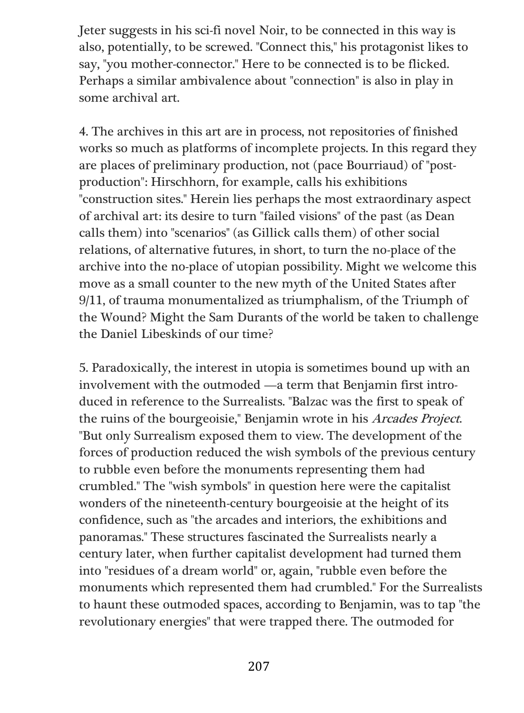Jeter suggests in his sci-fi novel Noir, to be connected in this way is also, potentially, to be screwed. "Connect this," his protagonist likes to say, "you mother-connector." Here to be connected is to be flicked. Perhaps a similar ambivalence about "connection" is also in play in some archival art.

4. The archives in this art are in process, not repositories of finished works so much as platforms of incomplete projects. In this regard they are places of preliminary production, not (pace Bourriaud) of "postproduction": Hirschhorn, for example, calls his exhibitions "construction sites." Herein lies perhaps the most extraordinary aspect of archival art: its desire to turn "failed visions" of the past (as Dean calls them) into "scenarios" (as Gillick calls them) of other social relations, of alternative futures, in short, to turn the no-place of the archive into the no-place of utopian possibility. Might we welcome this move as a small counter to the new myth of the United States after 9/11, of trauma monumentalized as triumphalism, of the Triumph of the Wound? Might the Sam Durants of the world be taken to challenge the Daniel Libeskinds of our time?

5. Paradoxically, the interest in utopia is sometimes bound up with an involvement with the outmoded —a term that Benjamin first introduced in reference to the Surrealists. "Balzac was the first to speak of the ruins of the bourgeoisie," Benjamin wrote in his Arcades Project. "But only Surrealism exposed them to view. The development of the forces of production reduced the wish symbols of the previous century to rubble even before the monuments representing them had crumbled." The "wish symbols" in question here were the capitalist wonders of the nineteenth-century bourgeoisie at the height of its confidence, such as "the arcades and interiors, the exhibitions and panoramas." These structures fascinated the Surrealists nearly a century later, when further capitalist development had turned them into "residues of a dream world" or, again, "rubble even before the monuments which represented them had crumbled." For the Surrealists to haunt these outmoded spaces, according to Benjamin, was to tap "the revolutionary energies" that were trapped there. The outmoded for